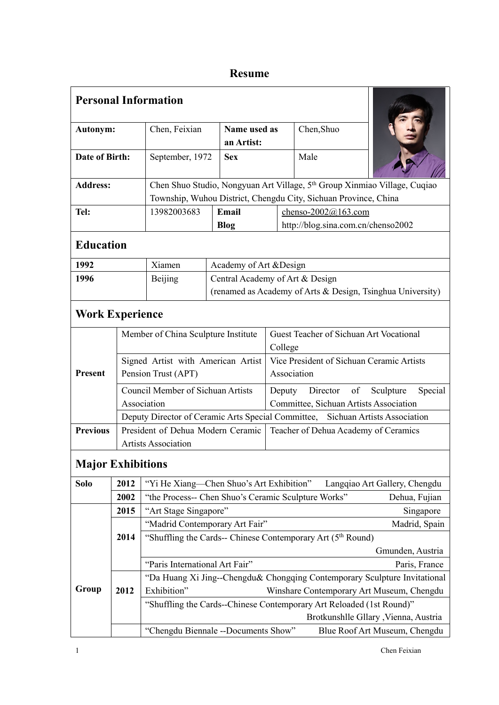## **Resume**

| Chen, Shuo<br>Chen, Feixian<br>Name used as<br>Autonym:<br>an Artist:<br>Date of Birth:<br>Male<br>September, 1972<br><b>Sex</b><br>Chen Shuo Studio, Nongyuan Art Village, 5 <sup>th</sup> Group Xinmiao Village, Cuqiao<br><b>Address:</b><br>Township, Wuhou District, Chengdu City, Sichuan Province, China<br>Tel:<br>13982003683<br>Email<br>chenso- $2002@163.com$<br>http://blog.sina.com.cn/chenso2002<br><b>Blog</b><br><b>Education</b><br>1992<br>Academy of Art & Design<br>Xiamen<br>Central Academy of Art & Design<br>1996<br><b>Beijing</b><br>(renamed as Academy of Arts & Design, Tsinghua University)<br><b>Work Experience</b><br>Guest Teacher of Sichuan Art Vocational<br>Member of China Sculpture Institute<br>College<br>Vice President of Sichuan Ceramic Artists<br>Signed Artist with American Artist<br><b>Present</b><br>Pension Trust (APT)<br>Association<br><b>Council Member of Sichuan Artists</b><br>Director<br>of<br>Sculpture<br>Special<br>Deputy<br>Association<br>Committee, Sichuan Artists Association<br>Deputy Director of Ceramic Arts Special Committee, Sichuan Artists Association<br><b>Previous</b><br>President of Dehua Modern Ceramic<br>Teacher of Dehua Academy of Ceramics<br><b>Artists Association</b><br><b>Major Exhibitions</b><br>"Yi He Xiang-Chen Shuo's Art Exhibition"<br>Solo<br>2012<br>Langqiao Art Gallery, Chengdu<br>2002<br>"the Process-- Chen Shuo's Ceramic Sculpture Works"<br>Dehua, Fujian<br>"Art Stage Singapore"<br>Singapore<br>2015<br>"Madrid Contemporary Art Fair"<br>Madrid, Spain<br>"Shuffling the Cards-- Chinese Contemporary Art (5th Round)<br>2014<br>Gmunden, Austria<br>"Paris International Art Fair"<br>Paris, France<br>"Da Huang Xi Jing--Chengdu& Chongqing Contemporary Sculpture Invitational<br>Group<br>Exhibition"<br>Winshare Contemporary Art Museum, Chengdu<br>2012<br>"Shuffling the Cards--Chinese Contemporary Art Reloaded (1st Round)"<br>Brotkunshlle Gllary , Vienna, Austria<br>"Chengdu Biennale --Documents Show"<br>Blue Roof Art Museum, Chengdu |  | <b>Personal Information</b> |  |  |  |  |  |
|----------------------------------------------------------------------------------------------------------------------------------------------------------------------------------------------------------------------------------------------------------------------------------------------------------------------------------------------------------------------------------------------------------------------------------------------------------------------------------------------------------------------------------------------------------------------------------------------------------------------------------------------------------------------------------------------------------------------------------------------------------------------------------------------------------------------------------------------------------------------------------------------------------------------------------------------------------------------------------------------------------------------------------------------------------------------------------------------------------------------------------------------------------------------------------------------------------------------------------------------------------------------------------------------------------------------------------------------------------------------------------------------------------------------------------------------------------------------------------------------------------------------------------------------------------------------------------------------------------------------------------------------------------------------------------------------------------------------------------------------------------------------------------------------------------------------------------------------------------------------------------------------------------------------------------------------------------------------------------------------------------------------------------------------------------------------------------|--|-----------------------------|--|--|--|--|--|
|                                                                                                                                                                                                                                                                                                                                                                                                                                                                                                                                                                                                                                                                                                                                                                                                                                                                                                                                                                                                                                                                                                                                                                                                                                                                                                                                                                                                                                                                                                                                                                                                                                                                                                                                                                                                                                                                                                                                                                                                                                                                                  |  |                             |  |  |  |  |  |
|                                                                                                                                                                                                                                                                                                                                                                                                                                                                                                                                                                                                                                                                                                                                                                                                                                                                                                                                                                                                                                                                                                                                                                                                                                                                                                                                                                                                                                                                                                                                                                                                                                                                                                                                                                                                                                                                                                                                                                                                                                                                                  |  |                             |  |  |  |  |  |
|                                                                                                                                                                                                                                                                                                                                                                                                                                                                                                                                                                                                                                                                                                                                                                                                                                                                                                                                                                                                                                                                                                                                                                                                                                                                                                                                                                                                                                                                                                                                                                                                                                                                                                                                                                                                                                                                                                                                                                                                                                                                                  |  |                             |  |  |  |  |  |
|                                                                                                                                                                                                                                                                                                                                                                                                                                                                                                                                                                                                                                                                                                                                                                                                                                                                                                                                                                                                                                                                                                                                                                                                                                                                                                                                                                                                                                                                                                                                                                                                                                                                                                                                                                                                                                                                                                                                                                                                                                                                                  |  |                             |  |  |  |  |  |
|                                                                                                                                                                                                                                                                                                                                                                                                                                                                                                                                                                                                                                                                                                                                                                                                                                                                                                                                                                                                                                                                                                                                                                                                                                                                                                                                                                                                                                                                                                                                                                                                                                                                                                                                                                                                                                                                                                                                                                                                                                                                                  |  |                             |  |  |  |  |  |
|                                                                                                                                                                                                                                                                                                                                                                                                                                                                                                                                                                                                                                                                                                                                                                                                                                                                                                                                                                                                                                                                                                                                                                                                                                                                                                                                                                                                                                                                                                                                                                                                                                                                                                                                                                                                                                                                                                                                                                                                                                                                                  |  |                             |  |  |  |  |  |
|                                                                                                                                                                                                                                                                                                                                                                                                                                                                                                                                                                                                                                                                                                                                                                                                                                                                                                                                                                                                                                                                                                                                                                                                                                                                                                                                                                                                                                                                                                                                                                                                                                                                                                                                                                                                                                                                                                                                                                                                                                                                                  |  |                             |  |  |  |  |  |
|                                                                                                                                                                                                                                                                                                                                                                                                                                                                                                                                                                                                                                                                                                                                                                                                                                                                                                                                                                                                                                                                                                                                                                                                                                                                                                                                                                                                                                                                                                                                                                                                                                                                                                                                                                                                                                                                                                                                                                                                                                                                                  |  |                             |  |  |  |  |  |
|                                                                                                                                                                                                                                                                                                                                                                                                                                                                                                                                                                                                                                                                                                                                                                                                                                                                                                                                                                                                                                                                                                                                                                                                                                                                                                                                                                                                                                                                                                                                                                                                                                                                                                                                                                                                                                                                                                                                                                                                                                                                                  |  |                             |  |  |  |  |  |
|                                                                                                                                                                                                                                                                                                                                                                                                                                                                                                                                                                                                                                                                                                                                                                                                                                                                                                                                                                                                                                                                                                                                                                                                                                                                                                                                                                                                                                                                                                                                                                                                                                                                                                                                                                                                                                                                                                                                                                                                                                                                                  |  |                             |  |  |  |  |  |
|                                                                                                                                                                                                                                                                                                                                                                                                                                                                                                                                                                                                                                                                                                                                                                                                                                                                                                                                                                                                                                                                                                                                                                                                                                                                                                                                                                                                                                                                                                                                                                                                                                                                                                                                                                                                                                                                                                                                                                                                                                                                                  |  |                             |  |  |  |  |  |
|                                                                                                                                                                                                                                                                                                                                                                                                                                                                                                                                                                                                                                                                                                                                                                                                                                                                                                                                                                                                                                                                                                                                                                                                                                                                                                                                                                                                                                                                                                                                                                                                                                                                                                                                                                                                                                                                                                                                                                                                                                                                                  |  |                             |  |  |  |  |  |
|                                                                                                                                                                                                                                                                                                                                                                                                                                                                                                                                                                                                                                                                                                                                                                                                                                                                                                                                                                                                                                                                                                                                                                                                                                                                                                                                                                                                                                                                                                                                                                                                                                                                                                                                                                                                                                                                                                                                                                                                                                                                                  |  |                             |  |  |  |  |  |
|                                                                                                                                                                                                                                                                                                                                                                                                                                                                                                                                                                                                                                                                                                                                                                                                                                                                                                                                                                                                                                                                                                                                                                                                                                                                                                                                                                                                                                                                                                                                                                                                                                                                                                                                                                                                                                                                                                                                                                                                                                                                                  |  |                             |  |  |  |  |  |
|                                                                                                                                                                                                                                                                                                                                                                                                                                                                                                                                                                                                                                                                                                                                                                                                                                                                                                                                                                                                                                                                                                                                                                                                                                                                                                                                                                                                                                                                                                                                                                                                                                                                                                                                                                                                                                                                                                                                                                                                                                                                                  |  |                             |  |  |  |  |  |
|                                                                                                                                                                                                                                                                                                                                                                                                                                                                                                                                                                                                                                                                                                                                                                                                                                                                                                                                                                                                                                                                                                                                                                                                                                                                                                                                                                                                                                                                                                                                                                                                                                                                                                                                                                                                                                                                                                                                                                                                                                                                                  |  |                             |  |  |  |  |  |
|                                                                                                                                                                                                                                                                                                                                                                                                                                                                                                                                                                                                                                                                                                                                                                                                                                                                                                                                                                                                                                                                                                                                                                                                                                                                                                                                                                                                                                                                                                                                                                                                                                                                                                                                                                                                                                                                                                                                                                                                                                                                                  |  |                             |  |  |  |  |  |
|                                                                                                                                                                                                                                                                                                                                                                                                                                                                                                                                                                                                                                                                                                                                                                                                                                                                                                                                                                                                                                                                                                                                                                                                                                                                                                                                                                                                                                                                                                                                                                                                                                                                                                                                                                                                                                                                                                                                                                                                                                                                                  |  |                             |  |  |  |  |  |
|                                                                                                                                                                                                                                                                                                                                                                                                                                                                                                                                                                                                                                                                                                                                                                                                                                                                                                                                                                                                                                                                                                                                                                                                                                                                                                                                                                                                                                                                                                                                                                                                                                                                                                                                                                                                                                                                                                                                                                                                                                                                                  |  |                             |  |  |  |  |  |
|                                                                                                                                                                                                                                                                                                                                                                                                                                                                                                                                                                                                                                                                                                                                                                                                                                                                                                                                                                                                                                                                                                                                                                                                                                                                                                                                                                                                                                                                                                                                                                                                                                                                                                                                                                                                                                                                                                                                                                                                                                                                                  |  |                             |  |  |  |  |  |
|                                                                                                                                                                                                                                                                                                                                                                                                                                                                                                                                                                                                                                                                                                                                                                                                                                                                                                                                                                                                                                                                                                                                                                                                                                                                                                                                                                                                                                                                                                                                                                                                                                                                                                                                                                                                                                                                                                                                                                                                                                                                                  |  |                             |  |  |  |  |  |
|                                                                                                                                                                                                                                                                                                                                                                                                                                                                                                                                                                                                                                                                                                                                                                                                                                                                                                                                                                                                                                                                                                                                                                                                                                                                                                                                                                                                                                                                                                                                                                                                                                                                                                                                                                                                                                                                                                                                                                                                                                                                                  |  |                             |  |  |  |  |  |
|                                                                                                                                                                                                                                                                                                                                                                                                                                                                                                                                                                                                                                                                                                                                                                                                                                                                                                                                                                                                                                                                                                                                                                                                                                                                                                                                                                                                                                                                                                                                                                                                                                                                                                                                                                                                                                                                                                                                                                                                                                                                                  |  |                             |  |  |  |  |  |
|                                                                                                                                                                                                                                                                                                                                                                                                                                                                                                                                                                                                                                                                                                                                                                                                                                                                                                                                                                                                                                                                                                                                                                                                                                                                                                                                                                                                                                                                                                                                                                                                                                                                                                                                                                                                                                                                                                                                                                                                                                                                                  |  |                             |  |  |  |  |  |
|                                                                                                                                                                                                                                                                                                                                                                                                                                                                                                                                                                                                                                                                                                                                                                                                                                                                                                                                                                                                                                                                                                                                                                                                                                                                                                                                                                                                                                                                                                                                                                                                                                                                                                                                                                                                                                                                                                                                                                                                                                                                                  |  |                             |  |  |  |  |  |
|                                                                                                                                                                                                                                                                                                                                                                                                                                                                                                                                                                                                                                                                                                                                                                                                                                                                                                                                                                                                                                                                                                                                                                                                                                                                                                                                                                                                                                                                                                                                                                                                                                                                                                                                                                                                                                                                                                                                                                                                                                                                                  |  |                             |  |  |  |  |  |
|                                                                                                                                                                                                                                                                                                                                                                                                                                                                                                                                                                                                                                                                                                                                                                                                                                                                                                                                                                                                                                                                                                                                                                                                                                                                                                                                                                                                                                                                                                                                                                                                                                                                                                                                                                                                                                                                                                                                                                                                                                                                                  |  |                             |  |  |  |  |  |